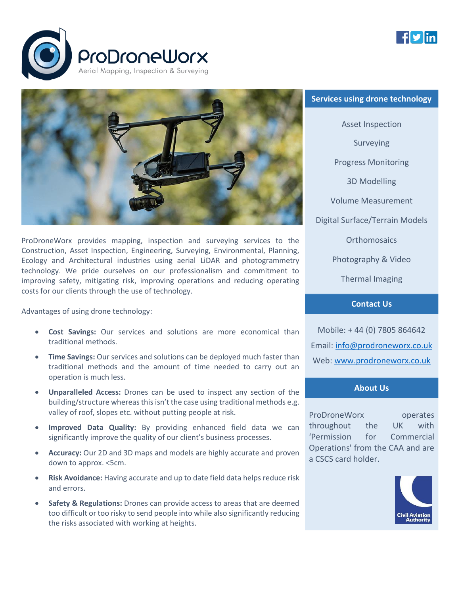





ProDroneWorx provides mapping, inspection and surveying services to the Construction, Asset Inspection, Engineering, Surveying, Environmental, Planning, Ecology and Architectural industries using aerial LiDAR and photogrammetry technology. We pride ourselves on our professionalism and commitment to improving safety, mitigating risk, improving operations and reducing operating costs for our clients through the use of technology.

Advantages of using drone technology:

- **Cost Savings:** Our services and solutions are more economical than traditional methods.
- **Time Savings:** Our services and solutions can be deployed much faster than traditional methods and the amount of time needed to carry out an operation is much less.
- **Unparalleled Access:** Drones can be used to inspect any section of the building/structure whereas this isn't the case using traditional methods e.g. valley of roof, slopes etc. without putting people at risk.
- **Improved Data Quality:** By providing enhanced field data we can significantly improve the quality of our client's business processes.
- **Accuracy:** Our 2D and 3D maps and models are highly accurate and proven down to approx. <5cm.
- **Risk Avoidance:** Having accurate and up to date field data helps reduce risk and errors.
- **Safety & Regulations:** Drones can provide access to areas that are deemed too difficult or too risky to send people into while also significantly reducing the risks associated with working at heights.

# **Services using drone technology**

Asset Inspection Surveying Progress Monitoring 3D Modelling Volume Measurement Digital Surface/Terrain Models **Orthomosaics** Photography & Video Thermal Imaging

## **Contact Us**

Mobile: + 44 (0) 7805 864642 Email: [info@prodroneworx.co.uk](mailto:info@prodroneworx.co.uk) Web: [www.prodroneworx.co.uk](http://www.prodroneworx.co.uk/)

#### **About Us**

ProDroneWorx operates throughout the UK with 'Permission for Commercial Operations' from the CAA and are a CSCS card holder.